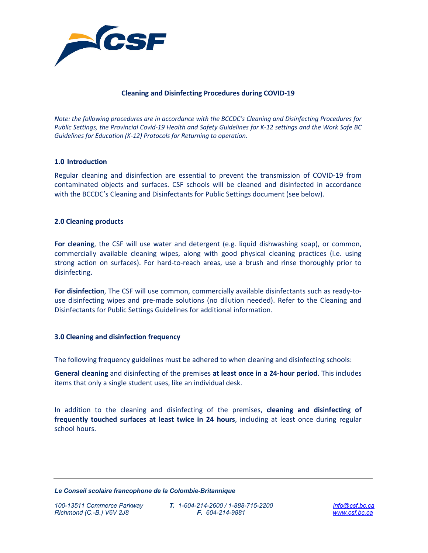

## **Cleaning and Disinfecting Procedures during COVID-19**

*Note: the following procedures are in accordance with the BCCDC's Cleaning and Disinfecting Procedures for Public Settings, the Provincial Covid-19 Health and Safety Guidelines for K-12 settings and the Work Safe BC Guidelines for Education (K-12) Protocols for Returning to operation.*

### **1.0 Introduction**

Regular cleaning and disinfection are essential to prevent the transmission of COVID-19 from contaminated objects and surfaces. CSF schools will be cleaned and disinfected in accordance with the BCCDC's Cleaning and Disinfectants for Public Settings document (see below).

#### **2.0 Cleaning products**

**For cleaning**, the CSF will use water and detergent (e.g. liquid dishwashing soap), or common, commercially available cleaning wipes, along with good physical cleaning practices (i.e. using strong action on surfaces). For hard-to-reach areas, use a brush and rinse thoroughly prior to disinfecting.

**For disinfection**, The CSF will use common, commercially available disinfectants such as ready-touse disinfecting wipes and pre-made solutions (no dilution needed). Refer to the Cleaning and Disinfectants for Public Settings Guidelines for additional information.

### **3.0 Cleaning and disinfection frequency**

The following frequency guidelines must be adhered to when cleaning and disinfecting schools:

**General cleaning** and disinfecting of the premises **at least once in a 24-hour period**. This includes items that only a single student uses, like an individual desk.

In addition to the cleaning and disinfecting of the premises, **cleaning and disinfecting of frequently touched surfaces at least twice in 24 hours**, including at least once during regular school hours.

*Le Conseil scolaire francophone de la Colombie-Britannique*

*T. 1-604-214-2600 / 1-888-715-2200 F. 604-214-9881*

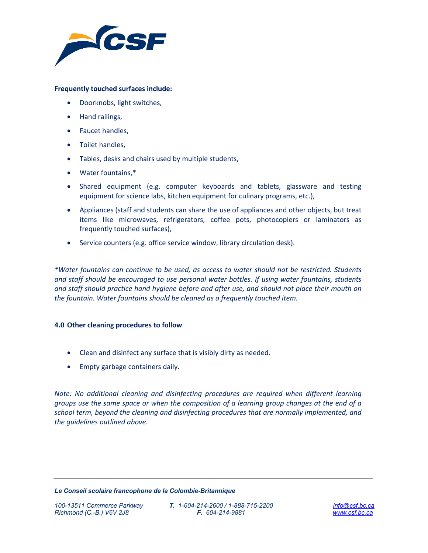

## **Frequently touched surfaces include:**

- Doorknobs, light switches,
- Hand railings,
- Faucet handles,
- Toilet handles,
- Tables, desks and chairs used by multiple students,
- Water fountains,\*
- Shared equipment (e.g. computer keyboards and tablets, glassware and testing equipment for science labs, kitchen equipment for culinary programs, etc.),
- Appliances (staff and students can share the use of appliances and other objects, but treat items like microwaves, refrigerators, coffee pots, photocopiers or laminators as frequently touched surfaces),
- Service counters (e.g. office service window, library circulation desk).

*\*Water fountains can continue to be used, as access to water should not be restricted. Students and staff should be encouraged to use personal water bottles. If using water fountains, students and staff should practice hand hygiene before and after use, and should not place their mouth on the fountain. Water fountains should be cleaned as a frequently touched item.* 

### **4.0 Other cleaning procedures to follow**

- Clean and disinfect any surface that is visibly dirty as needed.
- Empty garbage containers daily.

*Note: No additional cleaning and disinfecting procedures are required when different learning groups use the same space or when the composition of a learning group changes at the end of a school term, beyond the cleaning and disinfecting procedures that are normally implemented, and the guidelines outlined above.*

*Le Conseil scolaire francophone de la Colombie-Britannique*

*T. 1-604-214-2600 / 1-888-715-2200 F. 604-214-9881*